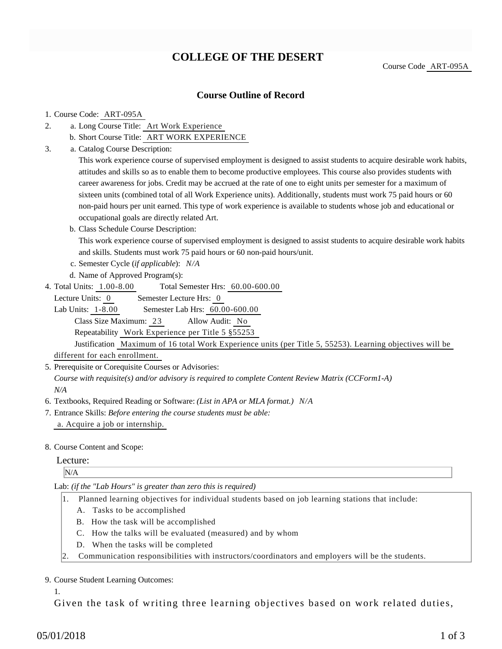## **COLLEGE OF THE DESERT**

Course Code ART-095A

### **Course Outline of Record**

#### 1. Course Code: ART-095A

- a. Long Course Title: Art Work Experience 2.
	- b. Short Course Title: ART WORK EXPERIENCE
- Catalog Course Description: a. 3.

This work experience course of supervised employment is designed to assist students to acquire desirable work habits, attitudes and skills so as to enable them to become productive employees. This course also provides students with career awareness for jobs. Credit may be accrued at the rate of one to eight units per semester for a maximum of sixteen units (combined total of all Work Experience units). Additionally, students must work 75 paid hours or 60 non-paid hours per unit earned. This type of work experience is available to students whose job and educational or occupational goals are directly related Art.

b. Class Schedule Course Description:

This work experience course of supervised employment is designed to assist students to acquire desirable work habits and skills. Students must work 75 paid hours or 60 non-paid hours/unit.

- c. Semester Cycle (*if applicable*): *N/A*
- d. Name of Approved Program(s):
- Total Semester Hrs: 60.00-600.00 4. Total Units: 1.00-8.00

Lecture Units: 0 Semester Lecture Hrs: 0

Lab Units: 1-8.00 Semester Lab Hrs: 60.00-600.00 Class Size Maximum: 23 Allow Audit: No Repeatability Work Experience per Title 5 §55253

Justification Maximum of 16 total Work Experience units (per Title 5, 55253). Learning objectives will be different for each enrollment.

5. Prerequisite or Corequisite Courses or Advisories:

*Course with requisite(s) and/or advisory is required to complete Content Review Matrix (CCForm1-A) N/A*

- 6. Textbooks, Required Reading or Software: *(List in APA or MLA format.) N/A*
- Entrance Skills: *Before entering the course students must be able:* 7. a. Acquire a job or internship.
- 8. Course Content and Scope:

#### Lecture:

N/A

Lab: *(if the "Lab Hours" is greater than zero this is required)*

- 1. Planned learning objectives for individual students based on job learning stations that include:
	- A. Tasks to be accomplished
	- B. How the task will be accomplished
	- C. How the talks will be evaluated (measured) and by whom
	- D. When the tasks will be completed
- 2. Communication responsibilities with instructors/coordinators and employers will be the students.

#### 9. Course Student Learning Outcomes:

1.

Given the task of writing three learning objectives based on work related duties,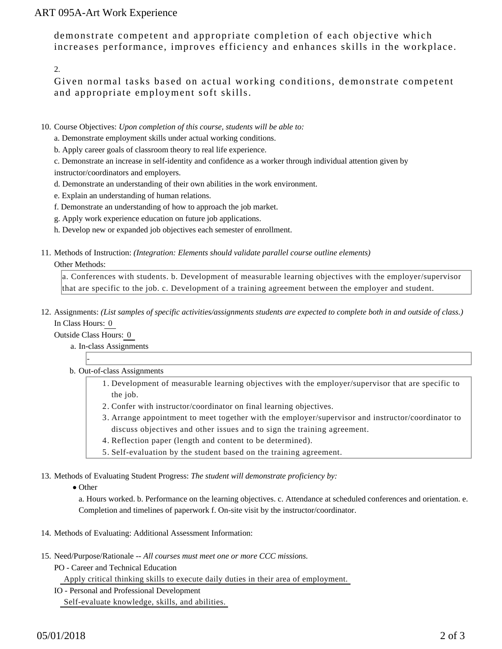## ART 095A-Art Work Experience

demonstrate competent and appropriate completion of each objective which increases performance, improves efficiency and enhances skills in the workplace.

2.

Given normal tasks based on actual working conditions, demonstrate competent and appropriate employment soft skills.

- 10. Course Objectives: Upon completion of this course, students will be able to:
	- a. Demonstrate employment skills under actual working conditions.
	- b. Apply career goals of classroom theory to real life experience.

c. Demonstrate an increase in self-identity and confidence as a worker through individual attention given by instructor/coordinators and employers.

- d. Demonstrate an understanding of their own abilities in the work environment.
- e. Explain an understanding of human relations.
- f. Demonstrate an understanding of how to approach the job market.
- g. Apply work experience education on future job applications.
- h. Develop new or expanded job objectives each semester of enrollment.
- 11. Methods of Instruction: *(Integration: Elements should validate parallel course outline elements)*

#### Other Methods:

a. Conferences with students. b. Development of measurable learning objectives with the employer/supervisor that are specific to the job. c. Development of a training agreement between the employer and student.

12. Assignments: (List samples of specific activities/assignments students are expected to complete both in and outside of class.) In Class Hours: 0

Outside Class Hours: 0

-

- a. In-class Assignments
- b. Out-of-class Assignments
	- 1. Development of measurable learning objectives with the employer/supervisor that are specific to the job.
	- 2. Confer with instructor/coordinator on final learning objectives.
	- Arrange appointment to meet together with the employer/supervisor and instructor/coordinator to 3. discuss objectives and other issues and to sign the training agreement.
	- 4. Reflection paper (length and content to be determined).
	- 5. Self-evaluation by the student based on the training agreement.

13. Methods of Evaluating Student Progress: The student will demonstrate proficiency by:

• Other

a. Hours worked. b. Performance on the learning objectives. c. Attendance at scheduled conferences and orientation. e. Completion and timelines of paperwork f. On-site visit by the instructor/coordinator.

- 14. Methods of Evaluating: Additional Assessment Information:
- 15. Need/Purpose/Rationale -- All courses must meet one or more CCC missions.
	- PO Career and Technical Education

Apply critical thinking skills to execute daily duties in their area of employment.

IO - Personal and Professional Development

Self-evaluate knowledge, skills, and abilities.